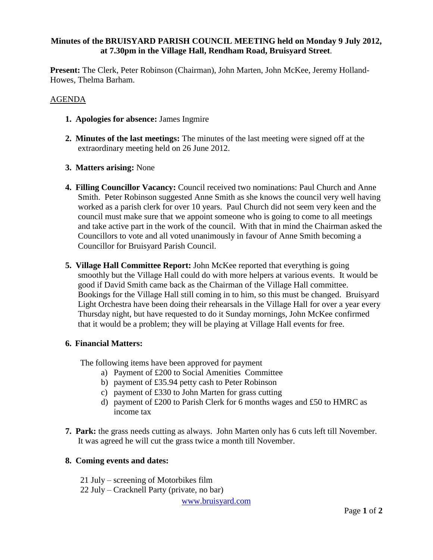## **Minutes of the BRUISYARD PARISH COUNCIL MEETING held on Monday 9 July 2012, at 7.30pm in the Village Hall, Rendham Road, Bruisyard Street**.

**Present:** The Clerk, Peter Robinson (Chairman), John Marten, John McKee, Jeremy Holland-Howes, Thelma Barham.

### AGENDA

- **1. Apologies for absence:** James Ingmire
- **2. Minutes of the last meetings:** The minutes of the last meeting were signed off at the extraordinary meeting held on 26 June 2012.
- **3. Matters arising:** None
- **4. Filling Councillor Vacancy:** Council received two nominations: Paul Church and Anne Smith. Peter Robinson suggested Anne Smith as she knows the council very well having worked as a parish clerk for over 10 years. Paul Church did not seem very keen and the council must make sure that we appoint someone who is going to come to all meetings and take active part in the work of the council. With that in mind the Chairman asked the Councillors to vote and all voted unanimously in favour of Anne Smith becoming a Councillor for Bruisyard Parish Council.
- **5. Village Hall Committee Report:** John McKee reported that everything is going smoothly but the Village Hall could do with more helpers at various events. It would be good if David Smith came back as the Chairman of the Village Hall committee. Bookings for the Village Hall still coming in to him, so this must be changed. Bruisyard Light Orchestra have been doing their rehearsals in the Village Hall for over a year every Thursday night, but have requested to do it Sunday mornings, John McKee confirmed that it would be a problem; they will be playing at Village Hall events for free.

#### **6. Financial Matters:**

The following items have been approved for payment

- a) Payment of £200 to Social Amenities Committee
- b) payment of £35.94 petty cash to Peter Robinson
- c) payment of £330 to John Marten for grass cutting
- d) payment of £200 to Parish Clerk for 6 months wages and £50 to HMRC as income tax
- **7. Park:** the grass needs cutting as always. John Marten only has 6 cuts left till November. It was agreed he will cut the grass twice a month till November.

# **8. Coming events and dates:**

21 July – screening of Motorbikes film 22 July – Cracknell Party (private, no bar)

www.bruisyard.com